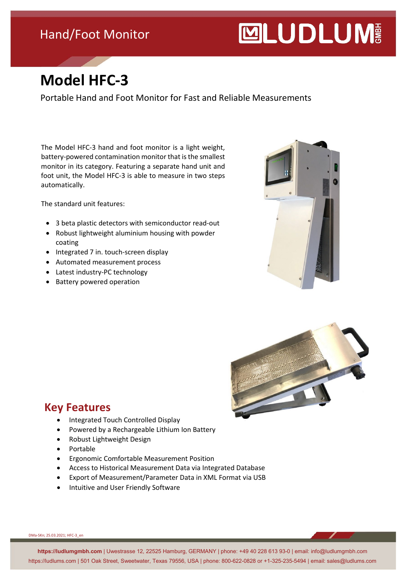### Hand/Foot Monitor

# **MUDLUM**

## **Model HFC-3**

Portable Hand and Foot Monitor for Fast and Reliable Measurements

The Model HFC-3 hand and foot monitor is a light weight, battery-powered contamination monitor that is the smallest monitor in its category. Featuring a separate hand unit and foot unit, the Model HFC-3 is able to measure in two steps automatically.

The standard unit features:

- 3 beta plastic detectors with semiconductor read-out
- Robust lightweight aluminium housing with powder coating
- Integrated 7 in. touch-screen display
- Automated measurement process
- Latest industry-PC technology
- Battery powered operation





#### **Key Features**

- Integrated Touch Controlled Display
- Powered by a Rechargeable Lithium Ion Battery
- Robust Lightweight Design
- Portable
- Ergonomic Comfortable Measurement Position
- Access to Historical Measurement Data via Integrated Database
- Export of Measurement/Parameter Data in XML Format via USB
- Intuitive and User Friendly Software

DMa-SKn; 25.03.2021; HFC-3\_en

**https://ludlumgmbh.com** | Uwestrasse 12, 22525 Hamburg, GERMANY | phone: +49 40 228 613 93-0 | email: info@ludlumgmbh.com https://ludlums.com | 501 Oak Street, Sweetwater, Texas 79556, USA | phone: 800-622-0828 or +1-325-235-5494 | email: sales@ludlums.com